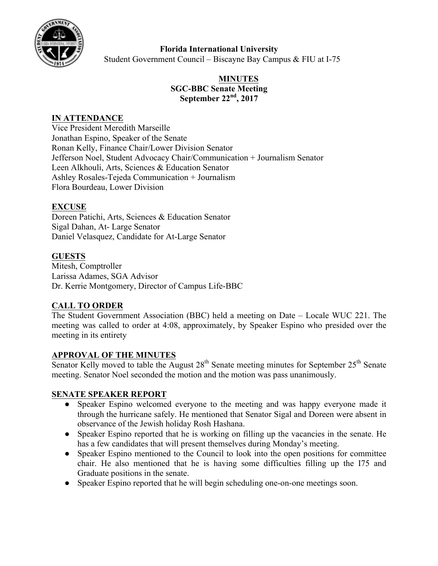

# **Florida International University**

Student Government Council – Biscayne Bay Campus & FIU at I-75

## **MINUTES SGC-BBC Senate Meeting September 22nd, 2017**

### **IN ATTENDANCE**

Vice President Meredith Marseille Jonathan Espino, Speaker of the Senate Ronan Kelly, Finance Chair/Lower Division Senator Jefferson Noel, Student Advocacy Chair/Communication + Journalism Senator Leen Alkhouli, Arts, Sciences & Education Senator Ashley Rosales-Tejeda Communication + Journalism Flora Bourdeau, Lower Division

### **EXCUSE**

Doreen Patichi, Arts, Sciences & Education Senator Sigal Dahan, At- Large Senator Daniel Velasquez, Candidate for At-Large Senator

## **GUESTS**

Mitesh, Comptroller Larissa Adames, SGA Advisor Dr. Kerrie Montgomery, Director of Campus Life-BBC

### **CALL TO ORDER**

The Student Government Association (BBC) held a meeting on Date – Locale WUC 221. The meeting was called to order at 4:08, approximately, by Speaker Espino who presided over the meeting in its entirety

### **APPROVAL OF THE MINUTES**

Senator Kelly moved to table the August  $28<sup>th</sup>$  Senate meeting minutes for September  $25<sup>th</sup>$  Senate meeting. Senator Noel seconded the motion and the motion was pass unanimously.

### **SENATE SPEAKER REPORT**

- Speaker Espino welcomed everyone to the meeting and was happy everyone made it through the hurricane safely. He mentioned that Senator Sigal and Doreen were absent in observance of the Jewish holiday Rosh Hashana.
- Speaker Espino reported that he is working on filling up the vacancies in the senate. He has a few candidates that will present themselves during Monday's meeting.
- Speaker Espino mentioned to the Council to look into the open positions for committee chair. He also mentioned that he is having some difficulties filling up the I75 and Graduate positions in the senate.
- Speaker Espino reported that he will begin scheduling one-on-one meetings soon.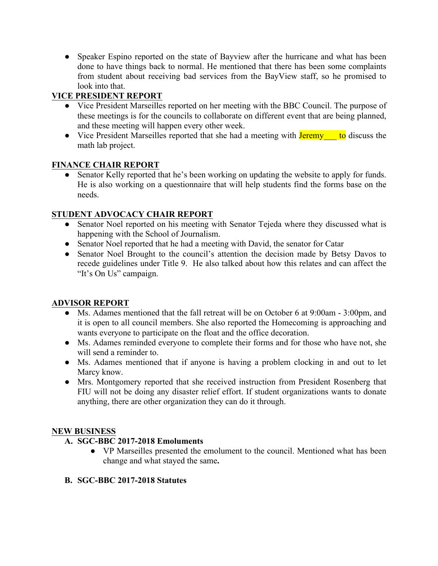• Speaker Espino reported on the state of Bayview after the hurricane and what has been done to have things back to normal. He mentioned that there has been some complaints from student about receiving bad services from the BayView staff, so he promised to look into that.

# **VICE PRESIDENT REPORT**

- Vice President Marseilles reported on her meeting with the BBC Council. The purpose of these meetings is for the councils to collaborate on different event that are being planned, and these meeting will happen every other week.
- Vice President Marseilles reported that she had a meeting with **Jeremy** to discuss the math lab project.

# **FINANCE CHAIR REPORT**

• Senator Kelly reported that he's been working on updating the website to apply for funds. He is also working on a questionnaire that will help students find the forms base on the needs.

# **STUDENT ADVOCACY CHAIR REPORT**

- Senator Noel reported on his meeting with Senator Tejeda where they discussed what is happening with the School of Journalism.
- Senator Noel reported that he had a meeting with David, the senator for Catar
- Senator Noel Brought to the council's attention the decision made by Betsy Davos to recede guidelines under Title 9. He also talked about how this relates and can affect the "It's On Us" campaign.

# **ADVISOR REPORT**

- Ms. Adames mentioned that the fall retreat will be on October 6 at 9:00am 3:00pm, and it is open to all council members. She also reported the Homecoming is approaching and wants everyone to participate on the float and the office decoration.
- Ms. Adames reminded everyone to complete their forms and for those who have not, she will send a reminder to.
- Ms. Adames mentioned that if anyone is having a problem clocking in and out to let Marcy know.
- Mrs. Montgomery reported that she received instruction from President Rosenberg that FIU will not be doing any disaster relief effort. If student organizations wants to donate anything, there are other organization they can do it through.

### **NEW BUSINESS**

- **A. SGC-BBC 2017-2018 Emoluments** 
	- VP Marseilles presented the emolument to the council. Mentioned what has been change and what stayed the same**.**
- **B. SGC-BBC 2017-2018 Statutes**